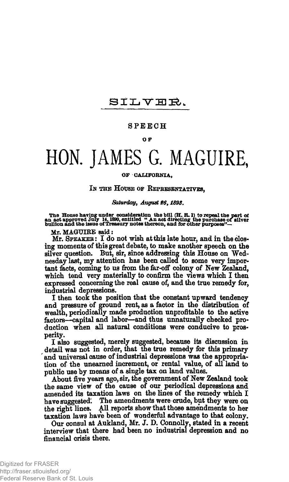# SILVER.

### **SPEEC H**

### **OF**

# **HON. JAMES G. MAGUIRE,**

#### **OF CALIFORNIA,**

## **IN THE HOUSE OF REPRESENTATIVES,**

*Saturday, August 96,1893.* 

The House having under consideration the bill (H. R. l) to repeal the part of<br>an act approved July 14, 1890, entitled  $\cdot$  An act directing the purchase of silver<br>bullion and the issue of Treasury notes thereon, and for o

Mr. MAGUIBE said:

**Mr. SPEAKER: I do not wish at this late hour, and in the closing moments of this great debate, to make another speech on the silver question. But, sir, since addressing this House on Wednesday last, my attention has been called to some very important facts, coming to us from the far-off colony of New Zealand, which tend very materially to confirm the views which I then expressed concerning the real cause of, and the true remedy for, industrial depressions.** 

**I then took the position that the constant upward tendency and pressure of ground rent, as a factor in the distribution of wealth, periodically made production unprofitable to the active factors—capital and labor—and thus unnaturally checked production when all natural conditions were conducive to prosperity.** 

**I also suggested, merely suggested, because its discussion in detail was not in order, that the true remedy for this primary and universal cause of industrial depressions was the appropriation of the unearned increment, or rental value, of all land to public use by means of a single tax on land values.** 

**About five years ago, sir, the government of New Zealand took the same view of the cause of our periodical depressions and amended its taxation laws on the lines of the remedy which I have suggested! The amendments were crude, but they were on the right lines. All reports show that those amendments to her taxation laws have been of wonderful advantage to that colony.** 

**Our consul at Aukland, Mr. J\* D. Connolly, stated in a recent interview that there had been no industrial depression and no financial crisis there.**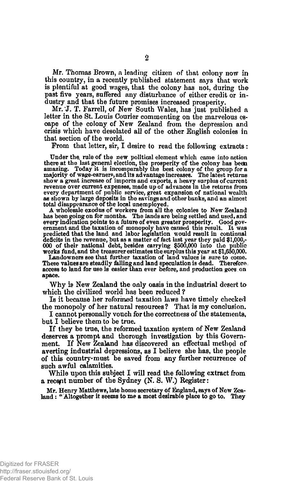**Mr. Thomas Brown, a leading citizen of that colony now in this country, in a recently published statement says that work is plentiful at good wages, that the colony has not, during the past five years, suffered any disturbance of either credit or industry and that the future promises increased prosperity.** 

**Mr. T. Farrell, of New South Wales, has just published a letter in the St. Louis Courier commenting on the marvelous escape of the colony of New Zealand from the depression and crisis which have desolated all of the other English colonies in that section of the world.** 

**From that letter, sir, I desire to read the following extracts:** 

Under the rule of the new political element which came into action<br>there at the last general election, the prosperity of the colony has been<br>amazing. Today it is incomparably the best colony of the group for a<br>majority of show a great increase of imports and exports, a heavy surplus of current<br>revenue over current expenses, made up of advances in the returns from<br>every department of public service, great expansion of national wealth<br>as show total disappearance of the local unemployed.

A wholesale exodus of workers from all the colonies to New Zealand has been going on for months. The lands are being settled and used, and every indication points to a future of even greater prosperity. Good government and the taxation of monopoly have caused this result. It was predicted that the land and labor legislation would result in continual deficits works fund, and the treasurer estimates the surplus this year at \$1,650,000.

Landowners see that further taxation of land values is sure to come. These values are steadily falling and land speculation is dead. Therefore access to land for use is easier than ever before, and production goes on apace.

**W hy is New Zealand the only oasis in the industrial desert to which the civilized world has been reduced ?** 

**Is it because her reformed taxation laws have timely checked the monopoly of her natural resources? That is my conclusion.** 

**I cannot personally vouch for the correctness of the statements, but I believe them to be true.** 

**If they be true, the reformed taxation system of New Zealand deserves a prompt and thorough investigation by this Government. If New Zealand has discovered an effectual method of averting industrial depressions, as I believe she has, the people of this country-must be saved from any further recurrence of such awful calamities.** 

**While upon this subject I will read the following extract from a recent number of the Sydney (N. S. W.) Register:** 

Mr. Henry Matthews, late home secretary of England, says of New Zealand : " Altogether it seems to me a most desirable place to go to. They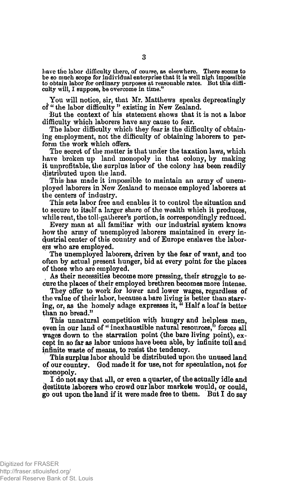have the labor difficulty there, of course, as elsewhere. There seems to be so much scope for individual enterprise that it is well nigh impossible<br>to obtain labor for ordinary purposes at reasonable rates. But this diffi-<br>culty will, I suppose, be overcome in time."

**# You will notice, sir, that Mr. Matthews speaks deprecatingly of " the labor difficulty " existing in New Zealand.** 

**But the context of his statement shows that it is not a labor difficulty which laborers have any cause to fear.** 

**The labor difficulty which they fear is the difficulty of obtaining employment, not the difficulty of obtaining laborers to perform the work which offers.** 

**The secret of the matter is that under the taxation laws, which have broken up land monopoly in that colony, by making it unprofitable, the surplus labor of the colony has been readily distributed upon the land.** 

**This has made it impossible to maintain an army of unemployed laborers in New Zealand to menace employed laborers at the centers of industry.** 

**This sets labor free and enables it to control the situation and to secure to itself a larger share of the wealth which it produces, while rent, the toll-gatherer's portion, is correspondingly reduced.** 

**Every man at all familiar with our industrial system knows how the army of unemployed laborers maintained in every industrial center of this country and of Europe enslaves the laborers who are employed.** 

**The unemployed laborers, driven by the fear of want, and too often by actual present hunger, bid at every point for the places of those who are employed.** 

**As their necessities become more pressing, their struggle to secure the places of their employed brethren becomes more intense.** 

**They offer to work for lower and lower wages, regardless of the value of their labor, because a bare living is better than starving, or, as the homely adage expresses it, " Half a loaf is better than no bread."** 

**This unnatural competition with hungry and helpless men,**  even in our land of "inexhaustible natural resources," forces all **wages down to the starvation point (the bare living point), except in so far as labor unions have been able, by infinite toil and infinite waste of means, to resist the tendency.** 

**This surplus labor should be distributed upon the unused land of our country. God made it for use, not for speculation, not for monopoly.** 

**I do not say that all, or even a quarter, of the actually idle and destitute laborers who crowd our labor markets would, or could, go out upon the land if it were made free to them. But I do say**